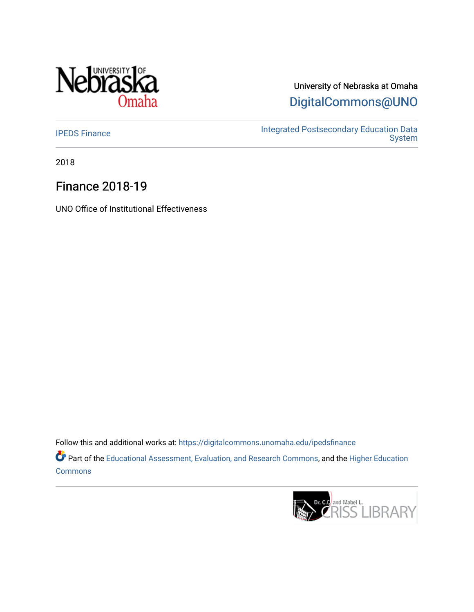

University of Nebraska at Omaha [DigitalCommons@UNO](https://digitalcommons.unomaha.edu/) 

[IPEDS Finance](https://digitalcommons.unomaha.edu/ipedsfinance) **Integrated Postsecondary Education Data** [System](https://digitalcommons.unomaha.edu/oieipeds) 

2018

# Finance 2018-19

UNO Office of Institutional Effectiveness

Follow this and additional works at: [https://digitalcommons.unomaha.edu/ipedsfinance](https://digitalcommons.unomaha.edu/ipedsfinance?utm_source=digitalcommons.unomaha.edu%2Fipedsfinance%2F52&utm_medium=PDF&utm_campaign=PDFCoverPages)  Part of the [Educational Assessment, Evaluation, and Research Commons](http://network.bepress.com/hgg/discipline/796?utm_source=digitalcommons.unomaha.edu%2Fipedsfinance%2F52&utm_medium=PDF&utm_campaign=PDFCoverPages), and the [Higher Education](http://network.bepress.com/hgg/discipline/1245?utm_source=digitalcommons.unomaha.edu%2Fipedsfinance%2F52&utm_medium=PDF&utm_campaign=PDFCoverPages) **[Commons](http://network.bepress.com/hgg/discipline/1245?utm_source=digitalcommons.unomaha.edu%2Fipedsfinance%2F52&utm_medium=PDF&utm_campaign=PDFCoverPages)** 

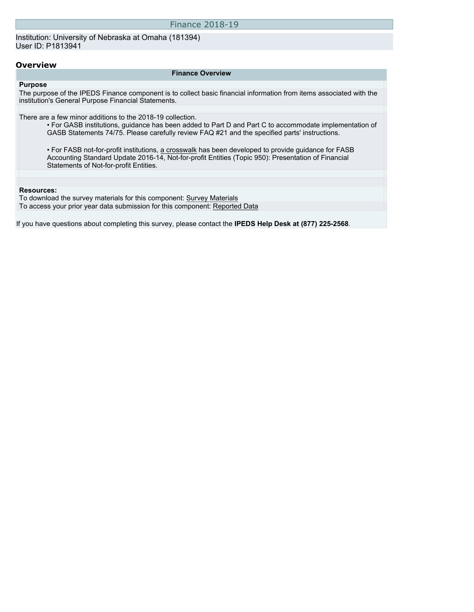| <b>Finance 2018-19</b> |  |  |
|------------------------|--|--|
|------------------------|--|--|

Institution: University of Nebraska at Omaha (181394) User ID: P1813941

#### **Overview**

#### **Finance Overview**

**Purpose** The purpose of the IPEDS Finance component is to collect basic financial information from items associated with the institution's General Purpose Financial Statements.

There are a few minor additions to the 2018-19 collection.

• For GASB institutions, guidance has been added to Part D and Part C to accommodate implementation of GASB Statements 74/75. Please carefully review FAQ #21 and the specified parts' instructions.

• For FASB not-for-profit institutions, [a crosswalk](https://nces.ed.gov/ipeds/pdf/Crosswalk_FASB_ASU201614.pdf) has been developed to provide guidance for FASB Accounting Standard Update 2016-14, Not-for-profit Entities (Topic 950): Presentation of Financial Statements of Not-for-profit Entities.

#### **Resources:**

To download the survey materials for this component: [Survey Materials](https://surveys.nces.ed.gov/ipeds/VisIndex.aspx) To access your prior year data submission for this component: [Reported Data](http://192.168.102.153/ipeds/PriorYearDataRedirect.aspx?survey_id=5)

If you have questions about completing this survey, please contact the **IPEDS Help Desk at (877) 225-2568**.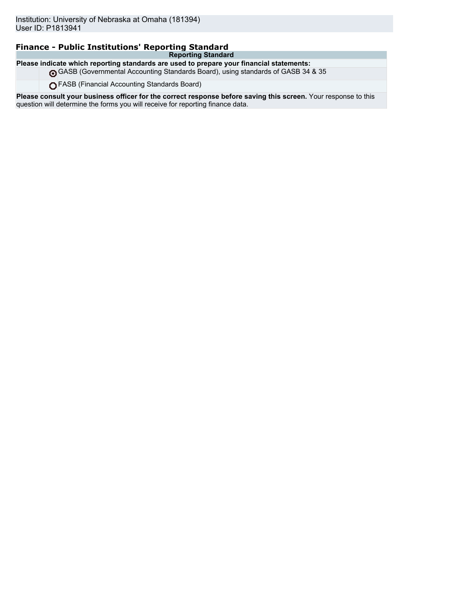### **Finance - Public Institutions' Reporting Standard**

**Reporting Standard Please indicate which reporting standards are used to prepare your financial statements:**

GASB (Governmental Accounting Standards Board), using standards of GASB 34 & 35

FASB (Financial Accounting Standards Board)

**Please consult your business officer for the correct response before saving this screen.** Your response to this question will determine the forms you will receive for reporting finance data.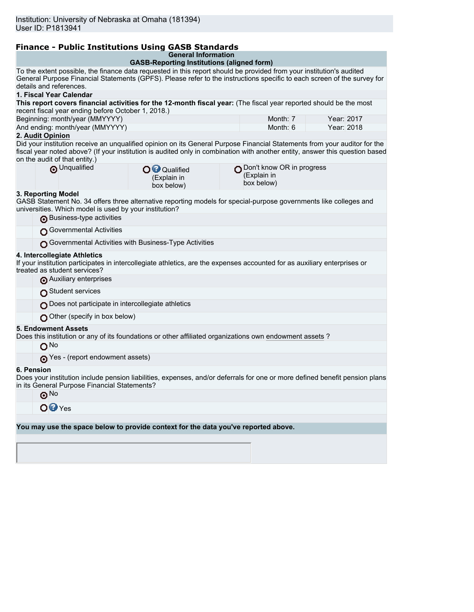## **Finance - Public Institutions Using GASB Standards**

|  | <b>General Information</b> |  |
|--|----------------------------|--|
|  |                            |  |

|                                                                                                                                                                                                                                                                                            | General information<br><b>GASB-Reporting Institutions (aligned form)</b> |                                                          |            |  |  |
|--------------------------------------------------------------------------------------------------------------------------------------------------------------------------------------------------------------------------------------------------------------------------------------------|--------------------------------------------------------------------------|----------------------------------------------------------|------------|--|--|
| To the extent possible, the finance data requested in this report should be provided from your institution's audited                                                                                                                                                                       |                                                                          |                                                          |            |  |  |
| General Purpose Financial Statements (GPFS). Please refer to the instructions specific to each screen of the survey for<br>details and references.                                                                                                                                         |                                                                          |                                                          |            |  |  |
| 1. Fiscal Year Calendar                                                                                                                                                                                                                                                                    |                                                                          |                                                          |            |  |  |
| This report covers financial activities for the 12-month fiscal year: (The fiscal year reported should be the most                                                                                                                                                                         |                                                                          |                                                          |            |  |  |
| recent fiscal year ending before October 1, 2018.)<br>Beginning: month/year (MMYYYY)                                                                                                                                                                                                       |                                                                          | Month: 7                                                 | Year: 2017 |  |  |
| And ending: month/year (MMYYYY)                                                                                                                                                                                                                                                            |                                                                          | Month: 6                                                 | Year: 2018 |  |  |
| 2. Audit Opinion                                                                                                                                                                                                                                                                           |                                                                          |                                                          |            |  |  |
| Did your institution receive an unqualified opinion on its General Purpose Financial Statements from your auditor for the<br>fiscal year noted above? (If your institution is audited only in combination with another entity, answer this question based<br>on the audit of that entity.) |                                                                          |                                                          |            |  |  |
| O Unqualified                                                                                                                                                                                                                                                                              | <b>O</b> <sup>O</sup> Qualified<br>(Explain in<br>box below)             | ∩ Don't know OR in progress<br>(Explain in<br>box below) |            |  |  |
| 3. Reporting Model<br>GASB Statement No. 34 offers three alternative reporting models for special-purpose governments like colleges and<br>universities. Which model is used by your institution?<br>Business-type activities                                                              |                                                                          |                                                          |            |  |  |
| Governmental Activities                                                                                                                                                                                                                                                                    |                                                                          |                                                          |            |  |  |
|                                                                                                                                                                                                                                                                                            |                                                                          |                                                          |            |  |  |
|                                                                                                                                                                                                                                                                                            | Governmental Activities with Business-Type Activities                    |                                                          |            |  |  |
| 4. Intercollegiate Athletics<br>If your institution participates in intercollegiate athletics, are the expenses accounted for as auxiliary enterprises or<br>treated as student services?                                                                                                  |                                                                          |                                                          |            |  |  |
| Auxiliary enterprises                                                                                                                                                                                                                                                                      |                                                                          |                                                          |            |  |  |
| Student services                                                                                                                                                                                                                                                                           |                                                                          |                                                          |            |  |  |
| Does not participate in intercollegiate athletics                                                                                                                                                                                                                                          |                                                                          |                                                          |            |  |  |
| Other (specify in box below)                                                                                                                                                                                                                                                               |                                                                          |                                                          |            |  |  |
| <b>5. Endowment Assets</b><br>Does this institution or any of its foundations or other affiliated organizations own endowment assets?                                                                                                                                                      |                                                                          |                                                          |            |  |  |
| O <sub>No</sub>                                                                                                                                                                                                                                                                            |                                                                          |                                                          |            |  |  |
| Yes - (report endowment assets)                                                                                                                                                                                                                                                            |                                                                          |                                                          |            |  |  |
| 6. Pension<br>Does your institution include pension liabilities, expenses, and/or deferrals for one or more defined benefit pension plans<br>in its General Purpose Financial Statements?                                                                                                  |                                                                          |                                                          |            |  |  |
| ⊚™                                                                                                                                                                                                                                                                                         |                                                                          |                                                          |            |  |  |
| $OQY$ es                                                                                                                                                                                                                                                                                   |                                                                          |                                                          |            |  |  |
|                                                                                                                                                                                                                                                                                            |                                                                          |                                                          |            |  |  |
| You may use the space below to provide context for the data you've reported above.                                                                                                                                                                                                         |                                                                          |                                                          |            |  |  |
|                                                                                                                                                                                                                                                                                            |                                                                          |                                                          |            |  |  |
|                                                                                                                                                                                                                                                                                            |                                                                          |                                                          |            |  |  |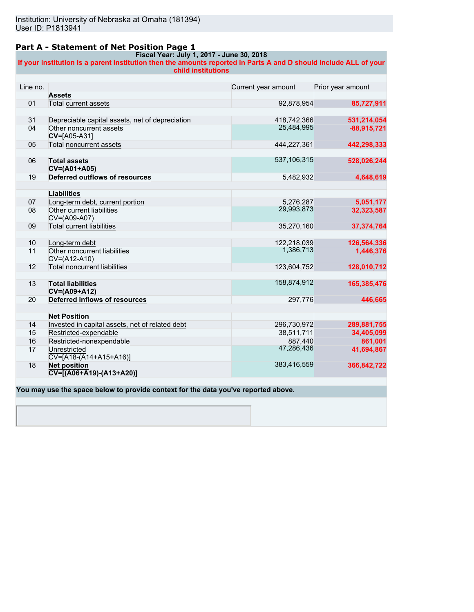### **Part A - Statement of Net Position Page 1**

#### **Fiscal Year: July 1, 2017 - June 30, 2018 If your institution is a parent institution then the amounts reported in Parts A and D should include ALL of your child institutions**

| Line no. |                                                                  | Current year amount | Prior year amount |
|----------|------------------------------------------------------------------|---------------------|-------------------|
|          | <b>Assets</b>                                                    |                     |                   |
| 01       | Total current assets                                             | 92,878,954          | 85,727,911        |
|          |                                                                  |                     |                   |
| 31       | Depreciable capital assets, net of depreciation                  | 418,742,366         | 531,214,054       |
| 04       | Other noncurrent assets<br>CV=[A05-A31]                          | 25,484,995          | $-88,915,721$     |
| 05       | Total noncurrent assets                                          | 444,227,361         | 442,298,333       |
| 06       | <b>Total assets</b>                                              | 537,106,315         | 528,026,244       |
|          | CV=(A01+A05)                                                     |                     |                   |
| 19       | Deferred outflows of resources                                   | 5,482,932           | 4,648,619         |
|          |                                                                  |                     |                   |
|          | <b>Liabilities</b>                                               |                     |                   |
| 07       | Long-term debt, current portion                                  | 5,276,287           | 5,051,177         |
| 08       | Other current liabilities<br>CV=(A09-A07)                        | 29,993,873          | 32,323,587        |
| 09       | <b>Total current liabilities</b>                                 | 35,270,160          | 37,374,764        |
|          |                                                                  |                     |                   |
| 10       | Long-term debt                                                   | 122,218,039         | 126,564,336       |
| 11       | Other noncurrent liabilities<br>CV=(A12-A10)                     | 1,386,713           | 1,446,376         |
| 12       | <b>Total noncurrent liabilities</b>                              | 123,604,752         | 128,010,712       |
|          |                                                                  |                     |                   |
| 13       | <b>Total liabilities</b><br>CV=(A09+A12)                         | 158,874,912         | 165,385,476       |
| 20       | Deferred inflows of resources                                    | 297,776             | 446,665           |
|          | <b>Net Position</b>                                              |                     |                   |
| 14       | Invested in capital assets, net of related debt                  | 296,730,972         | 289,881,755       |
| 15       | Restricted-expendable                                            | 38,511,711          | 34,405,099        |
| 16       | Restricted-nonexpendable                                         | 887.440             | 861,001           |
|          |                                                                  | 47,286,436          |                   |
| 17       | Unrestricted<br>$\overline{CV=[A18-(A14+A15+A16)]}$              |                     | 41,694,867        |
| 18       | <b>Net position</b><br>$\overline{CV}$ = [(A06+A19) - (A13+A20)] | 383,416,559         | 366,842,722       |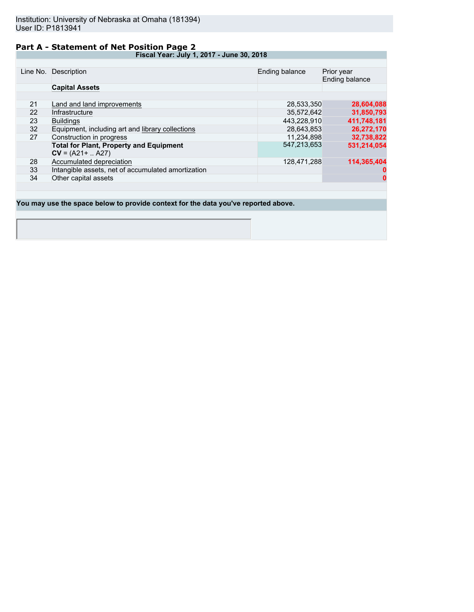### **Part A - Statement of Net Position Page 2**

**Fiscal Year: July 1, 2017 - June 30, 2018**

|    | Line No. Description                               | Ending balance | Prior year<br>Ending balance |
|----|----------------------------------------------------|----------------|------------------------------|
|    | <b>Capital Assets</b>                              |                |                              |
|    |                                                    |                |                              |
| 21 | Land and land improvements                         | 28,533,350     | 28,604,088                   |
| 22 | Infrastructure                                     | 35.572.642     | 31,850,793                   |
| 23 | <b>Buildings</b>                                   | 443,228,910    | 411,748,181                  |
| 32 | Equipment, including art and library collections   | 28,643,853     | 26,272,170                   |
| 27 | Construction in progress                           | 11,234,898     | 32,738,822                   |
|    | <b>Total for Plant, Property and Equipment</b>     | 547,213,653    | 531,214,054                  |
|    | $CV = (A21 +  A27)$                                |                |                              |
| 28 | Accumulated depreciation                           | 128.471.288    | 114.365.404                  |
| 33 | Intangible assets, net of accumulated amortization |                |                              |
| 34 | Other capital assets                               |                | $\mathbf{0}$                 |
|    |                                                    |                |                              |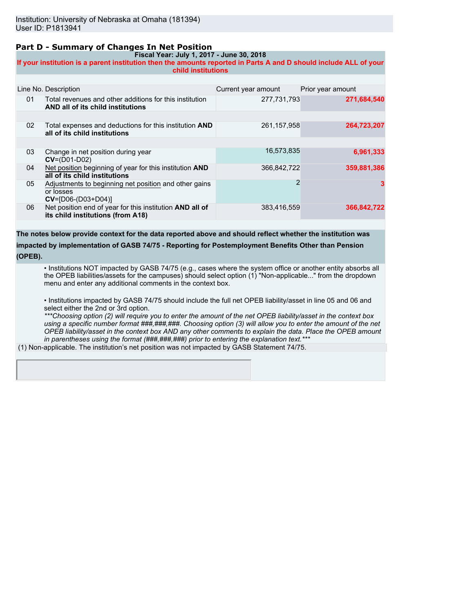### **Part D - Summary of Changes In Net Position**

**Fiscal Year: July 1, 2017 - June 30, 2018**

**If your institution is a parent institution then the amounts reported in Parts A and D should include ALL of your child institutions**

|    | Line No. Description                                                                          | Current year amount | Prior year amount |
|----|-----------------------------------------------------------------------------------------------|---------------------|-------------------|
| 01 | Total revenues and other additions for this institution<br>AND all of its child institutions  | 277,731,793         | 271,684,540       |
|    |                                                                                               |                     |                   |
| 02 | Total expenses and deductions for this institution AND<br>all of its child institutions       | 261, 157, 958       | 264,723,207       |
|    |                                                                                               |                     |                   |
| 03 | Change in net position during year<br>$CV=(D01-D02)$                                          | 16,573,835          | 6,961,333         |
| 04 | Net position beginning of year for this institution AND<br>all of its child institutions      | 366,842,722         | 359,881,386       |
| 05 | Adjustments to beginning net position and other gains<br>or losses<br>$CV = [D06-(D03+D04)]$  | 2                   | 3                 |
| 06 | Net position end of year for this institution AND all of<br>its child institutions (from A18) | 383,416,559         | 366,842,722       |

**The notes below provide context for the data reported above and should reflect whether the institution was impacted by implementation of GASB 74/75 - Reporting for Postemployment Benefits Other than Pension (OPEB).**

• Institutions NOT impacted by GASB 74/75 (e.g., cases where the system office or another entity absorbs all the OPEB liabilities/assets for the campuses) should select option (1) "Non-applicable..." from the dropdown menu and enter any additional comments in the context box.

• Institutions impacted by GASB 74/75 should include the full net OPEB liability/asset in line 05 and 06 and select either the 2nd or 3rd option.

*\*\*\*Choosing option (2) will require you to enter the amount of the net OPEB liability/asset in the context box using a specific number format ###,###,###. Choosing option (3) will allow you to enter the amount of the net OPEB liability/asset in the context box AND any other comments to explain the data. Place the OPEB amount in parentheses using the format (###,###,###) prior to entering the explanation text.\*\*\**

(1) Non-applicable. The institution's net position was not impacted by GASB Statement 74/75.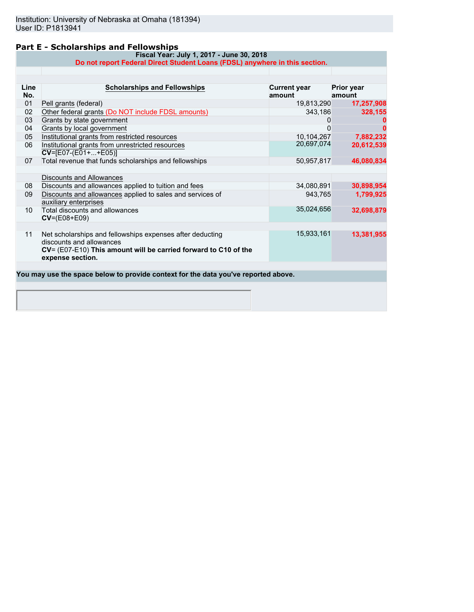### **Part E - Scholarships and Fellowships**

**Fiscal Year: July 1, 2017 - June 30, 2018 Do not report Federal Direct Student Loans (FDSL) anywhere in this section.**

| Line<br>No.     | <b>Scholarships and Fellowships</b>                                                                                                                                          | <b>Current year</b><br>amount | <b>Prior year</b><br>amount |
|-----------------|------------------------------------------------------------------------------------------------------------------------------------------------------------------------------|-------------------------------|-----------------------------|
| 01              | Pell grants (federal)                                                                                                                                                        | 19,813,290                    | 17,257,908                  |
| 02              | Other federal grants (Do NOT include FDSL amounts)                                                                                                                           | 343,186                       | 328,155                     |
| 03              | Grants by state government                                                                                                                                                   | 0                             |                             |
| 04              | Grants by local government                                                                                                                                                   | O                             |                             |
| 05              | Institutional grants from restricted resources                                                                                                                               | 10,104,267                    | 7,882,232                   |
| 06              | Institutional grants from unrestricted resources<br>$CV=[E07-(E01++E05)]$                                                                                                    | 20,697,074                    | 20,612,539                  |
| 07              | Total revenue that funds scholarships and fellowships                                                                                                                        | 50,957,817                    | 46,080,834                  |
|                 |                                                                                                                                                                              |                               |                             |
|                 | Discounts and Allowances                                                                                                                                                     |                               |                             |
| 08              | Discounts and allowances applied to tuition and fees                                                                                                                         | 34,080,891                    | 30,898,954                  |
| 09              | Discounts and allowances applied to sales and services of<br>auxiliary enterprises                                                                                           | 943,765                       | 1,799,925                   |
| 10 <sup>1</sup> | Total discounts and allowances<br>$CV=(E08+E09)$                                                                                                                             | 35,024,656                    | 32,698,879                  |
|                 |                                                                                                                                                                              |                               |                             |
| 11              | Net scholarships and fellowships expenses after deducting<br>discounts and allowances<br>CV= (E07-E10) This amount will be carried forward to C10 of the<br>expense section. | 15,933,161                    | 13,381,955                  |
|                 |                                                                                                                                                                              |                               |                             |
|                 | You may use the space below to provide context for the data you've reported above.                                                                                           |                               |                             |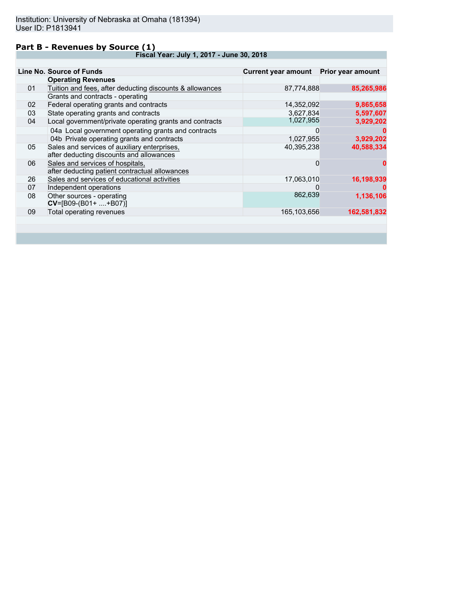### **Part B - Revenues by Source (1)**

**Fiscal Year: July 1, 2017 - June 30, 2018**

| <b>Operating Revenues</b><br>Tuition and fees, after deducting discounts & allowances<br>Grants and contracts - operating | 87,774,888 |                        |
|---------------------------------------------------------------------------------------------------------------------------|------------|------------------------|
|                                                                                                                           |            |                        |
|                                                                                                                           |            | 85,265,986             |
|                                                                                                                           |            |                        |
| Federal operating grants and contracts                                                                                    | 14,352,092 | 9,865,658              |
| State operating grants and contracts                                                                                      | 3,627,834  | 5,597,607              |
| Local government/private operating grants and contracts                                                                   | 1,027,955  | 3,929,202              |
| 04a Local government operating grants and contracts                                                                       | 0          |                        |
| 04b Private operating grants and contracts                                                                                | 1,027,955  | 3,929,202              |
| Sales and services of auxiliary enterprises,<br>after deducting discounts and allowances                                  | 40,395,238 | 40,588,334             |
| Sales and services of hospitals,<br>after deducting patient contractual allowances                                        | 0          |                        |
| Sales and services of educational activities                                                                              | 17,063,010 | 16,198,939             |
| Independent operations                                                                                                    | O          |                        |
| Other sources - operating<br>$CV=[B09-(B01+ +B07)]$                                                                       |            | 1,136,106              |
| Total operating revenues                                                                                                  |            | 162,581,832            |
|                                                                                                                           |            | 862,639<br>165,103,656 |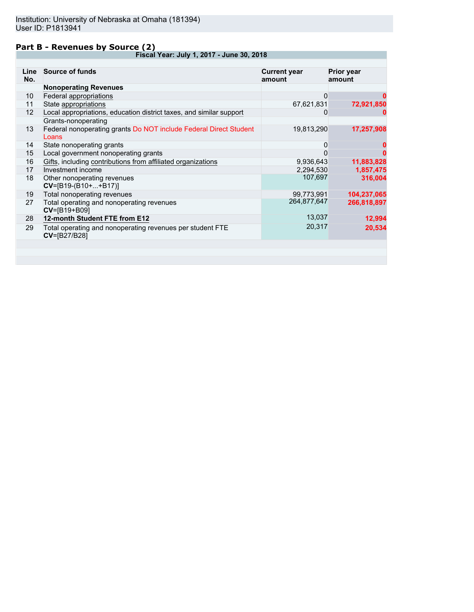### **Part B - Revenues by Source (2)**

**Fiscal Year: July 1, 2017 - June 30, 2018**

| Line<br>No. | <b>Source of funds</b>                                                                     | <b>Current year</b><br>amount | <b>Prior year</b><br>amount |
|-------------|--------------------------------------------------------------------------------------------|-------------------------------|-----------------------------|
|             | <b>Nonoperating Revenues</b>                                                               |                               |                             |
| 10          | Federal appropriations                                                                     | 0                             |                             |
| 11          | State appropriations                                                                       | 67,621,831                    | 72,921,850                  |
| 12          | Local appropriations, education district taxes, and similar support<br>Grants-nonoperating | O                             |                             |
| 13          | Federal nonoperating grants Do NOT include Federal Direct Student<br>Loans                 | 19,813,290                    | 17,257,908                  |
| 14          | State nonoperating grants                                                                  | 0                             |                             |
| 15          | Local government nonoperating grants                                                       | 0                             |                             |
| 16          | Gifts, including contributions from affiliated organizations                               | 9,936,643                     | 11,883,828                  |
| 17          | Investment income                                                                          | 2,294,530                     | 1,857,475                   |
| 18          | Other nonoperating revenues<br>$CV=[B19-(B10++B17)]$                                       | 107,697                       | 316,004                     |
| 19          | Total nonoperating revenues                                                                | 99,773,991                    | 104,237,065                 |
| 27          | Total operating and nonoperating revenues<br>CV=[B19+B09]                                  | 264,877,647                   | 266,818,897                 |
| 28          | 12-month Student FTE from E12                                                              | 13,037                        | 12,994                      |
| 29          | Total operating and nonoperating revenues per student FTE<br>CV=[B27/B28]                  | 20,317                        | 20,534                      |
|             |                                                                                            |                               |                             |
|             |                                                                                            |                               |                             |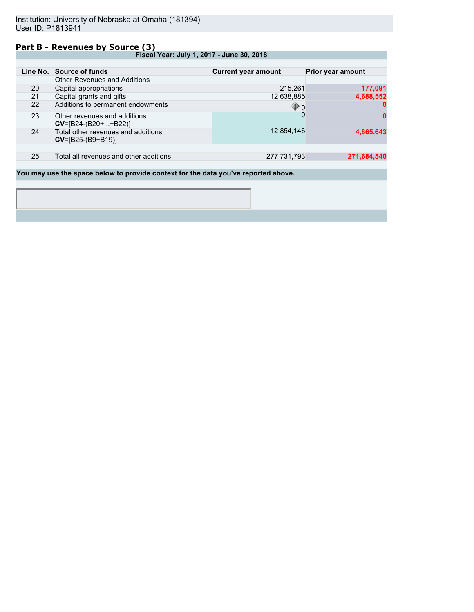### **Part B - Revenues by Source (3)**

**Fiscal Year: July 1, 2017 - June 30, 2018**

|    | Line No. Source of funds                                  | <b>Current year amount</b> | <b>Prior year amount</b> |
|----|-----------------------------------------------------------|----------------------------|--------------------------|
|    | <b>Other Revenues and Additions</b>                       |                            |                          |
| 20 | Capital appropriations                                    | 215,261                    | 177,091                  |
| 21 | Capital grants and gifts                                  | 12,638,885                 | 4,688,552                |
| 22 | Additions to permanent endowments                         | $\mathbf{\Phi}$ o          |                          |
| 23 | Other revenues and additions<br>$CV=[B24-(B20++B22)]$     |                            | 0                        |
| 24 | Total other revenues and additions<br>$CV=[B25-(B9+B19)]$ | 12,854,146                 | 4,865,643                |
|    |                                                           |                            |                          |
| 25 | Total all revenues and other additions                    | 277,731,793                | 271,684,540              |
|    |                                                           |                            |                          |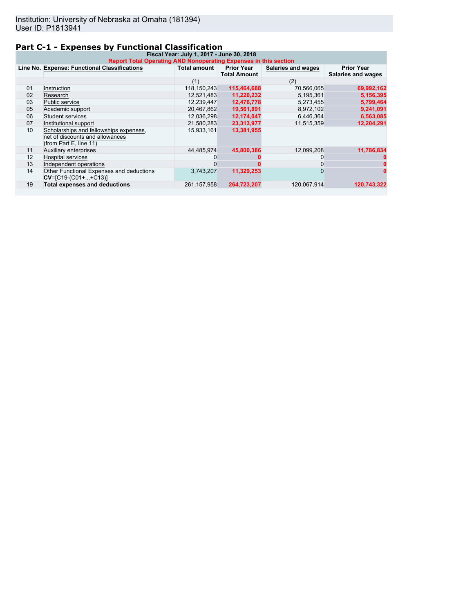## **Part C-1 - Expenses by Functional Classification**

| Fiscal Year: July 1, 2017 - June 30, 2018<br>Report Total Operating AND Nonoperating Expenses in this section |                                                                                                     |                     |                                          |                    |                                         |
|---------------------------------------------------------------------------------------------------------------|-----------------------------------------------------------------------------------------------------|---------------------|------------------------------------------|--------------------|-----------------------------------------|
|                                                                                                               | Line No. Expense: Functional Classifications                                                        | <b>Total amount</b> | <b>Prior Year</b><br><b>Total Amount</b> | Salaries and wages | <b>Prior Year</b><br>Salaries and wages |
|                                                                                                               |                                                                                                     | (1)                 |                                          | (2)                |                                         |
| 01                                                                                                            | Instruction                                                                                         | 118,150,243         | 115,464,688                              | 70,566,065         | 69,992,162                              |
| 02                                                                                                            | Research                                                                                            | 12,521,483          | 11,220,232                               | 5,195,361          | 5,156,395                               |
| 03                                                                                                            | Public service                                                                                      | 12,239,447          | 12,476,778                               | 5,273,455          | 5,799,464                               |
| 05                                                                                                            | Academic support                                                                                    | 20,467,862          | 19,561,891                               | 8,972,102          | 9,241,091                               |
| 06                                                                                                            | Student services                                                                                    | 12,036,298          | 12,174,047                               | 6,446,364          | 6,563,085                               |
| 07                                                                                                            | Institutional support                                                                               | 21,580,283          | 23,313,977                               | 11,515,359         | 12,204,291                              |
| 10                                                                                                            | Scholarships and fellowships expenses,<br>net of discounts and allowances<br>(from Part E, line 11) | 15,933,161          | 13,381,955                               |                    |                                         |
| 11                                                                                                            | Auxiliary enterprises                                                                               | 44.485.974          | 45,800,386                               | 12,099,208         | 11,786,834                              |
| 12                                                                                                            | <b>Hospital services</b>                                                                            |                     |                                          |                    |                                         |
| 13                                                                                                            | Independent operations                                                                              |                     |                                          |                    |                                         |
| 14                                                                                                            | Other Functional Expenses and deductions<br>$CV=[C19-(C01++C13)]$                                   | 3.743.207           | 11.329.253                               | 0                  |                                         |
| 19                                                                                                            | <b>Total expenses and deductions</b>                                                                | 261, 157, 958       | 264.723.207                              | 120,067,914        | 120,743,322                             |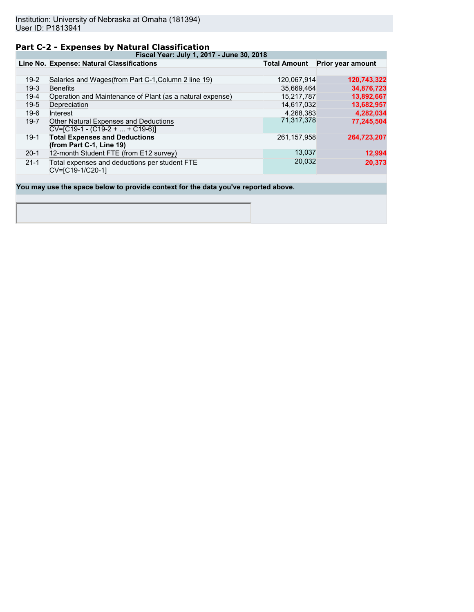### **Part C-2 - Expenses by Natural Classification**

**Fiscal Year: July 1, 2017 - June 30, 2018**

|          | Line No. Expense: Natural Classifications                                  | <b>Total Amount</b> | Prior year amount |
|----------|----------------------------------------------------------------------------|---------------------|-------------------|
|          |                                                                            |                     |                   |
| $19-2$   | Salaries and Wages (from Part C-1, Column 2 line 19)                       | 120,067,914         | 120,743,322       |
| $19-3$   | <b>Benefits</b>                                                            | 35,669,464          | 34,876,723        |
| $19-4$   | Operation and Maintenance of Plant (as a natural expense)                  | 15,217,787          | 13,892,667        |
| $19-5$   | Depreciation                                                               | 14,617,032          | 13,682,957        |
| $19-6$   | Interest                                                                   | 4.268.383           | 4,282,034         |
| $19 - 7$ | Other Natural Expenses and Deductions<br>$CV=[C19-1 - (C19-2 +  + C19-6)]$ | 71,317,378          | 77,245,504        |
| $19-1$   | <b>Total Expenses and Deductions</b><br>(from Part C-1, Line 19)           | 261, 157, 958       | 264,723,207       |
| $20-1$   | 12-month Student FTE (from E12 survey)                                     | 13,037              | 12,994            |
| $21 - 1$ | Total expenses and deductions per student FTE<br>CV=[C19-1/C20-1]          | 20,032              | 20,373            |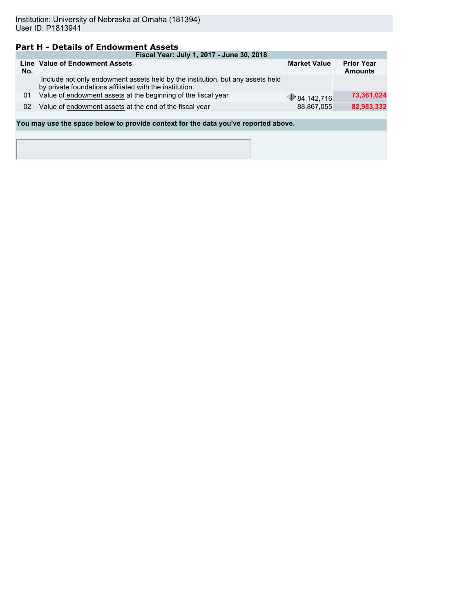### **Part H - Details of Endowment Assets**

|                                                                                    | Fiscal Year: July 1, 2017 - June 30, 2018                                                                                                 |                       |                                     |  |  |  |  |  |
|------------------------------------------------------------------------------------|-------------------------------------------------------------------------------------------------------------------------------------------|-----------------------|-------------------------------------|--|--|--|--|--|
| No.                                                                                | Line Value of Endowment Assets                                                                                                            | <b>Market Value</b>   | <b>Prior Year</b><br><b>Amounts</b> |  |  |  |  |  |
|                                                                                    | Include not only endowment assets held by the institution, but any assets held<br>by private foundations affiliated with the institution. |                       |                                     |  |  |  |  |  |
| 01                                                                                 | Value of endowment assets at the beginning of the fiscal year                                                                             | $\bigcirc$ 84,142,716 | 73,361,024                          |  |  |  |  |  |
| 02                                                                                 | 82,983,332<br>Value of endowment assets at the end of the fiscal year<br>88,867,055                                                       |                       |                                     |  |  |  |  |  |
|                                                                                    |                                                                                                                                           |                       |                                     |  |  |  |  |  |
| You may use the space below to provide context for the data you've reported above. |                                                                                                                                           |                       |                                     |  |  |  |  |  |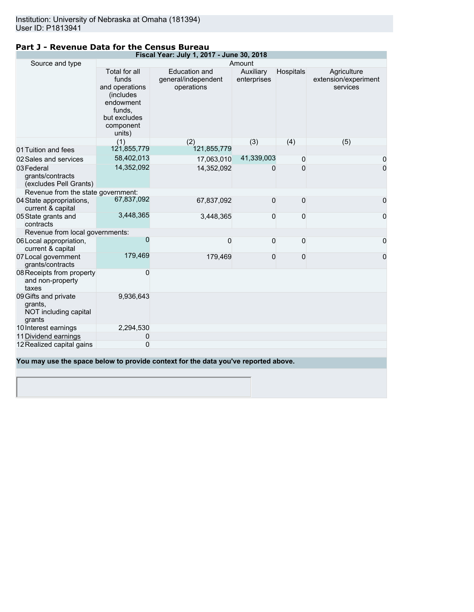| Fiscal Year: July 1, 2017 - June 30, 2018                          |                                                                                                                     |                                                    |                          |           |                                                 |  |
|--------------------------------------------------------------------|---------------------------------------------------------------------------------------------------------------------|----------------------------------------------------|--------------------------|-----------|-------------------------------------------------|--|
| Source and type                                                    |                                                                                                                     | Amount                                             |                          |           |                                                 |  |
|                                                                    | Total for all<br>funds<br>and operations<br>(includes<br>endowment<br>funds,<br>but excludes<br>component<br>units) | Education and<br>general/independent<br>operations | Auxiliary<br>enterprises | Hospitals | Agriculture<br>extension/experiment<br>services |  |
|                                                                    | (1)                                                                                                                 | (2)                                                | (3)                      | (4)       | (5)                                             |  |
| 01 Tuition and fees                                                | 121,855,779                                                                                                         | 121,855,779                                        |                          |           |                                                 |  |
| 02 Sales and services                                              | 58,402,013                                                                                                          | 17,063,010                                         | 41,339,003               | 0         | 0                                               |  |
| 03 Federal<br>grants/contracts<br>(excludes Pell Grants)           | 14,352,092                                                                                                          | 14,352,092                                         | 0                        | $\Omega$  | $\overline{0}$                                  |  |
| Revenue from the state government:                                 |                                                                                                                     |                                                    |                          |           |                                                 |  |
| 04 State appropriations,<br>current & capital                      | 67,837,092                                                                                                          | 67,837,092                                         | 0                        | 0         | 0                                               |  |
| 05 State grants and<br>contracts                                   | 3,448,365                                                                                                           | 3,448,365                                          | 0                        | 0         | 0                                               |  |
| Revenue from local governments:                                    |                                                                                                                     |                                                    |                          |           |                                                 |  |
| 06 Local appropriation,<br>current & capital                       | $\Omega$                                                                                                            | 0                                                  | 0                        | 0         | 0                                               |  |
| 07 Local government<br>grants/contracts                            | 179,469                                                                                                             | 179,469                                            | 0                        | 0         | 0                                               |  |
| 08 Receipts from property<br>and non-property<br>taxes             | 0                                                                                                                   |                                                    |                          |           |                                                 |  |
| 09 Gifts and private<br>grants,<br>NOT including capital<br>grants | 9,936,643                                                                                                           |                                                    |                          |           |                                                 |  |
| 10 Interest earnings                                               | 2,294,530                                                                                                           |                                                    |                          |           |                                                 |  |
| 11 Dividend earnings                                               | 0                                                                                                                   |                                                    |                          |           |                                                 |  |
| 12 Realized capital gains                                          | 0                                                                                                                   |                                                    |                          |           |                                                 |  |
|                                                                    |                                                                                                                     |                                                    |                          |           |                                                 |  |

### **Part J - Revenue Data for the Census Bureau**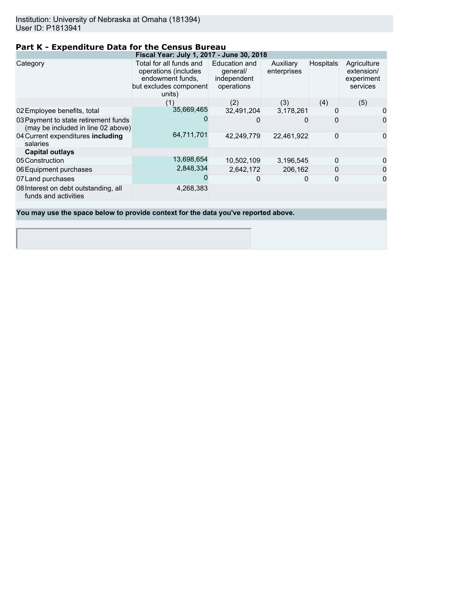### **Part K - Expenditure Data for the Census Bureau**

| Total for all funds and<br>operations (includes<br>endowment funds,<br>but excludes component<br>units) | Education and<br>general/<br>independent<br>operations         | Auxiliary<br>enterprises | <b>Hospitals</b>                                       | Agriculture<br>extension/<br>experiment<br>services |
|---------------------------------------------------------------------------------------------------------|----------------------------------------------------------------|--------------------------|--------------------------------------------------------|-----------------------------------------------------|
| (1)                                                                                                     | (2)                                                            | (3)                      | (4)                                                    | (5)                                                 |
|                                                                                                         | 32,491,204                                                     |                          |                                                        | 0                                                   |
|                                                                                                         |                                                                |                          |                                                        | 0                                                   |
|                                                                                                         | 42.249.779                                                     |                          | 0                                                      | 0                                                   |
|                                                                                                         |                                                                |                          |                                                        |                                                     |
| 13,698,654                                                                                              | 10,502,109                                                     |                          | 0                                                      | 0                                                   |
| 2,848,334                                                                                               | 2,642,172                                                      |                          |                                                        | 0                                                   |
|                                                                                                         |                                                                | 0                        | 0                                                      | 0                                                   |
| 4,268,383                                                                                               |                                                                |                          |                                                        |                                                     |
|                                                                                                         | 35,669,465<br>(may be included in line 02 above)<br>64,711,701 |                          | Fiscal Year: July 1, 2017 - June 30, 2018<br>3,178,261 | 22.461.922<br>3,196,545<br>206.162                  |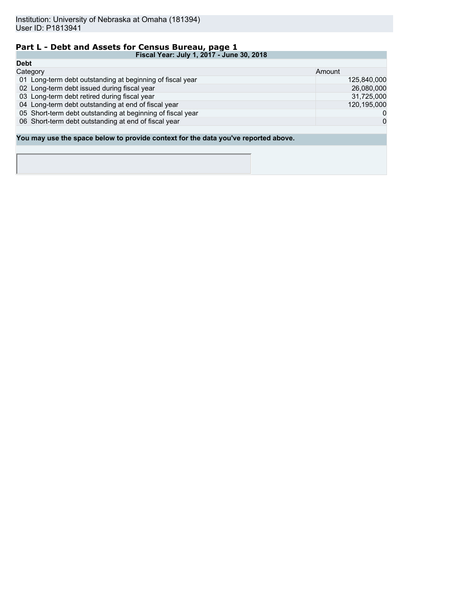## **Part L - Debt and Assets for Census Bureau, page 1**

|             | Fiscal Year: July 1, 2017 - June 30, 2018                                          |              |  |  |
|-------------|------------------------------------------------------------------------------------|--------------|--|--|
| <b>Debt</b> |                                                                                    |              |  |  |
|             | Category                                                                           | Amount       |  |  |
|             | 01 Long-term debt outstanding at beginning of fiscal year                          | 125,840,000  |  |  |
|             | 02 Long-term debt issued during fiscal year                                        | 26,080,000   |  |  |
|             | 03 Long-term debt retired during fiscal year                                       | 31,725,000   |  |  |
|             | 04 Long-term debt outstanding at end of fiscal year                                | 120,195,000  |  |  |
|             | 05 Short-term debt outstanding at beginning of fiscal year                         | 0            |  |  |
|             | 06 Short-term debt outstanding at end of fiscal year                               | $\mathbf{0}$ |  |  |
|             |                                                                                    |              |  |  |
|             | You may use the space below to provide context for the data you've reported above. |              |  |  |
|             |                                                                                    |              |  |  |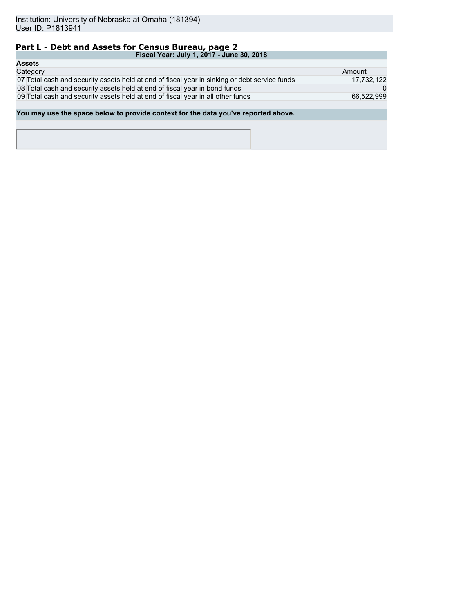## **Part L - Debt and Assets for Census Bureau, page 2**

| Fiscal Year: July 1, 2017 - June 30, 2018                                                     |            |
|-----------------------------------------------------------------------------------------------|------------|
| <b>Assets</b>                                                                                 |            |
| Category                                                                                      | Amount     |
| 07 Total cash and security assets held at end of fiscal year in sinking or debt service funds | 17,732,122 |
| 08 Total cash and security assets held at end of fiscal year in bond funds                    |            |
| 09 Total cash and security assets held at end of fiscal year in all other funds               | 66.522.999 |
|                                                                                               |            |
| You may use the space below to provide context for the data you've reported above.            |            |
|                                                                                               |            |
|                                                                                               |            |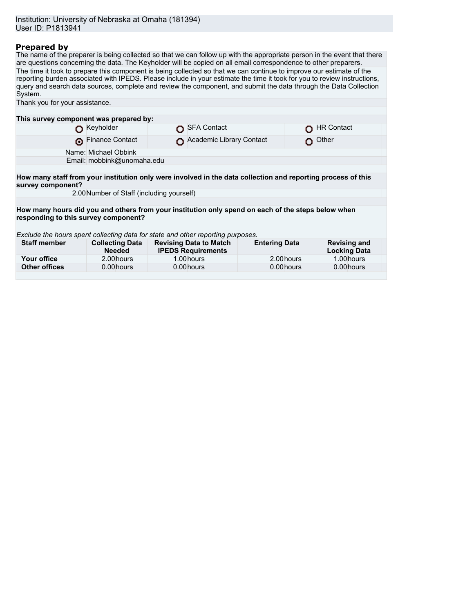### **Prepared by**

The name of the preparer is being collected so that we can follow up with the appropriate person in the event that there are questions concerning the data. The Keyholder will be copied on all email correspondence to other preparers. The time it took to prepare this component is being collected so that we can continue to improve our estimate of the reporting burden associated with IPEDS. Please include in your estimate the time it took for you to review instructions, query and search data sources, complete and review the component, and submit the data through the Data Collection System. Thank you for your assistance.

| This survey component was prepared by:                                                                                            |                                           |                                                            |                      |                                            |
|-----------------------------------------------------------------------------------------------------------------------------------|-------------------------------------------|------------------------------------------------------------|----------------------|--------------------------------------------|
|                                                                                                                                   | Keyholder                                 | SFA Contact                                                |                      | <b>HR Contact</b>                          |
|                                                                                                                                   | Finance Contact                           | Academic Library Contact                                   |                      | Other                                      |
|                                                                                                                                   | Name: Michael Obbink                      |                                                            |                      |                                            |
|                                                                                                                                   | Email: mobbink@unomaha.edu                |                                                            |                      |                                            |
|                                                                                                                                   |                                           |                                                            |                      |                                            |
| How many staff from your institution only were involved in the data collection and reporting process of this<br>survey component? |                                           |                                                            |                      |                                            |
|                                                                                                                                   | 2.00 Number of Staff (including yourself) |                                                            |                      |                                            |
|                                                                                                                                   |                                           |                                                            |                      |                                            |
| How many hours did you and others from your institution only spend on each of the steps below when                                |                                           |                                                            |                      |                                            |
| responding to this survey component?                                                                                              |                                           |                                                            |                      |                                            |
|                                                                                                                                   |                                           |                                                            |                      |                                            |
| Exclude the hours spent collecting data for state and other reporting purposes.                                                   |                                           |                                                            |                      |                                            |
| <b>Staff member</b>                                                                                                               | <b>Collecting Data</b><br><b>Needed</b>   | <b>Revising Data to Match</b><br><b>IPEDS Requirements</b> | <b>Entering Data</b> | <b>Revising and</b><br><b>Locking Data</b> |
| Your office                                                                                                                       | 2.00 hours                                | 1.00 hours                                                 | 2.00 hours           | 1.00 hours                                 |
| <b>Other offices</b>                                                                                                              | 0.00 hours                                | 0.00 hours                                                 | 0.00 hours           | 0.00 hours                                 |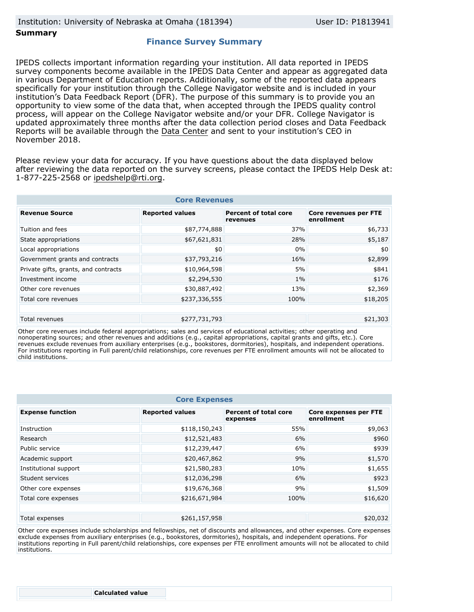### **Summary**

### **Finance Survey Summary**

IPEDS collects important information regarding your institution. All data reported in IPEDS survey components become available in the IPEDS Data Center and appear as aggregated data in various Department of Education reports. Additionally, some of the reported data appears specifically for your institution through the College Navigator website and is included in your institution's Data Feedback Report (DFR). The purpose of this summary is to provide you an opportunity to view some of the data that, when accepted through the IPEDS quality control process, will appear on the College Navigator website and/or your DFR. College Navigator is updated approximately three months after the data collection period closes and Data Feedback Reports will be available through the [Data Center](https://nces.ed.gov/ipeds/use-the-data) and sent to your institution's CEO in November 2018.

Please review your data for accuracy. If you have questions about the data displayed below after reviewing the data reported on the survey screens, please contact the IPEDS Help Desk at: 1-877-225-2568 or ipedshelp@rti.org.

| <b>Core Revenues</b>                        |                        |                                          |                                     |  |  |  |
|---------------------------------------------|------------------------|------------------------------------------|-------------------------------------|--|--|--|
| <b>Revenue Source</b>                       | <b>Reported values</b> | <b>Percent of total core</b><br>revenues | Core revenues per FTE<br>enrollment |  |  |  |
| Tuition and fees                            | \$87,774,888           | 37%                                      | \$6,733                             |  |  |  |
| State appropriations                        | \$67,621,831           | 28%                                      | \$5,187                             |  |  |  |
| Local appropriations                        | \$0                    | 0%                                       | \$0                                 |  |  |  |
| Government grants and contracts             | \$37,793,216           | 16%                                      | \$2,899                             |  |  |  |
| Private gifts, grants, and contracts        | \$10,964,598           | 5%                                       | \$841                               |  |  |  |
| Investment income                           | \$2,294,530            | $1\%$                                    | \$176                               |  |  |  |
| Other core revenues                         | \$30,887,492           | 13%                                      | \$2,369                             |  |  |  |
| Total core revenues                         | \$237,336,555          | 100%                                     | \$18,205                            |  |  |  |
|                                             |                        |                                          |                                     |  |  |  |
| \$277,731,793<br>\$21,303<br>Total revenues |                        |                                          |                                     |  |  |  |

Other core revenues include federal appropriations; sales and services of educational activities; other operating and nonoperating sources; and other revenues and additions (e.g., capital appropriations, capital grants and gifts, etc.). Core revenues exclude revenues from auxiliary enterprises (e.g., bookstores, dormitories), hospitals, and independent operations. For institutions reporting in Full parent/child relationships, core revenues per FTE enrollment amounts will not be allocated to child institutions.

| <b>Core Expenses</b>                        |                        |                                          |                                            |  |  |
|---------------------------------------------|------------------------|------------------------------------------|--------------------------------------------|--|--|
| <b>Expense function</b>                     | <b>Reported values</b> | <b>Percent of total core</b><br>expenses | <b>Core expenses per FTE</b><br>enrollment |  |  |
| Instruction                                 | \$118,150,243          | 55%                                      | \$9,063                                    |  |  |
| Research                                    | \$12,521,483           | 6%                                       | \$960                                      |  |  |
| Public service                              | \$12,239,447           | 6%                                       | \$939                                      |  |  |
| Academic support                            | \$20,467,862           | 9%                                       | \$1,570                                    |  |  |
| Institutional support                       | \$21,580,283           | 10%                                      | \$1,655                                    |  |  |
| Student services                            | \$12,036,298           | 6%                                       | \$923                                      |  |  |
| Other core expenses                         | \$19,676,368           | 9%                                       | \$1,509                                    |  |  |
| Total core expenses                         | \$216,671,984          | 100%                                     | \$16,620                                   |  |  |
|                                             |                        |                                          |                                            |  |  |
| \$261,157,958<br>\$20,032<br>Total expenses |                        |                                          |                                            |  |  |

Other core expenses include scholarships and fellowships, net of discounts and allowances, and other expenses. Core expenses exclude expenses from auxiliary enterprises (e.g., bookstores, dormitories), hospitals, and independent operations. For institutions reporting in Full parent/child relationships, core expenses per FTE enrollment amounts will not be allocated to child institutions.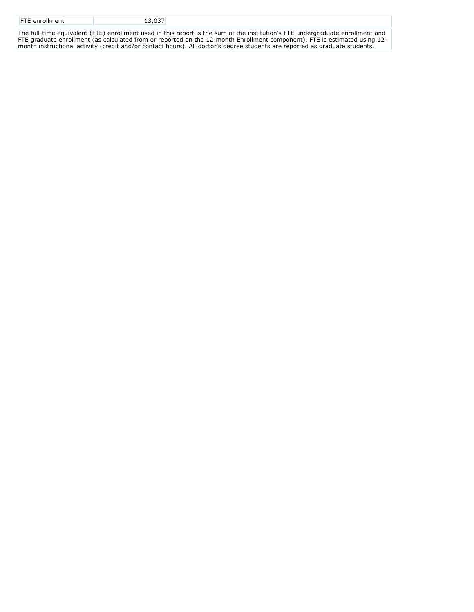| <b>FTE</b> enrollment | $\sim$ $\sim$ $\sim$ $\sim$ $\sim$ $\sim$ |  |
|-----------------------|-------------------------------------------|--|
|                       |                                           |  |

The full-time equivalent (FTE) enrollment used in this report is the sum of the institution's FTE undergraduate enrollment and FTE graduate enrollment (as calculated from or reported on the 12-month Enrollment component). FTE is estimated using 12 month instructional activity (credit and/or contact hours). All doctor's degree students are reported as graduate students.